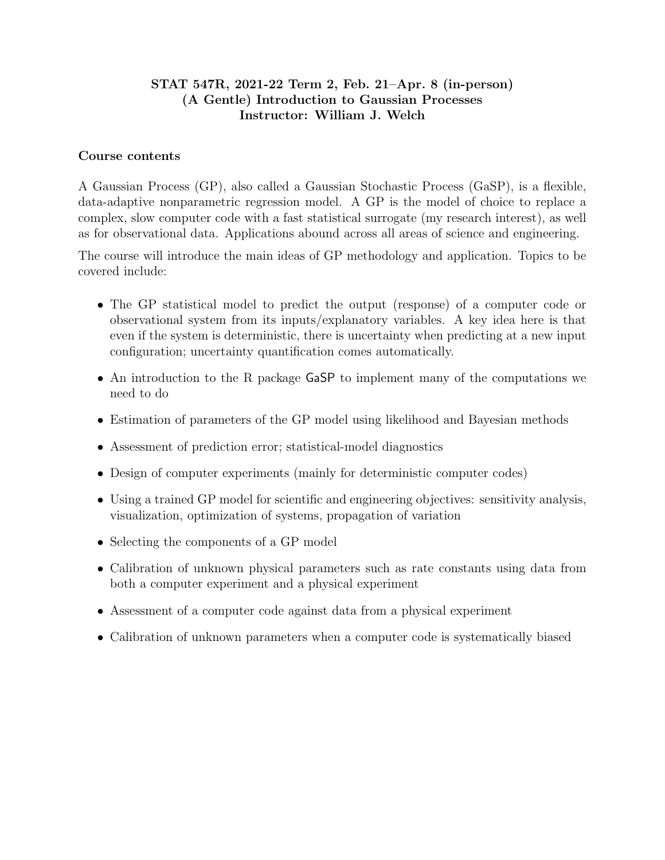# STAT 547R, 2021-22 Term 2, Feb. 21–Apr. 8 (in-person) (A Gentle) Introduction to Gaussian Processes Instructor: William J. Welch

### Course contents

A Gaussian Process (GP), also called a Gaussian Stochastic Process (GaSP), is a flexible, data-adaptive nonparametric regression model. A GP is the model of choice to replace a complex, slow computer code with a fast statistical surrogate (my research interest), as well as for observational data. Applications abound across all areas of science and engineering.

The course will introduce the main ideas of GP methodology and application. Topics to be covered include:

- The GP statistical model to predict the output (response) of a computer code or observational system from its inputs/explanatory variables. A key idea here is that even if the system is deterministic, there is uncertainty when predicting at a new input configuration; uncertainty quantification comes automatically.
- An introduction to the R package GaSP to implement many of the computations we need to do
- Estimation of parameters of the GP model using likelihood and Bayesian methods
- Assessment of prediction error; statistical-model diagnostics
- Design of computer experiments (mainly for deterministic computer codes)
- Using a trained GP model for scientific and engineering objectives: sensitivity analysis, visualization, optimization of systems, propagation of variation
- Selecting the components of a GP model
- Calibration of unknown physical parameters such as rate constants using data from both a computer experiment and a physical experiment
- Assessment of a computer code against data from a physical experiment
- Calibration of unknown parameters when a computer code is systematically biased